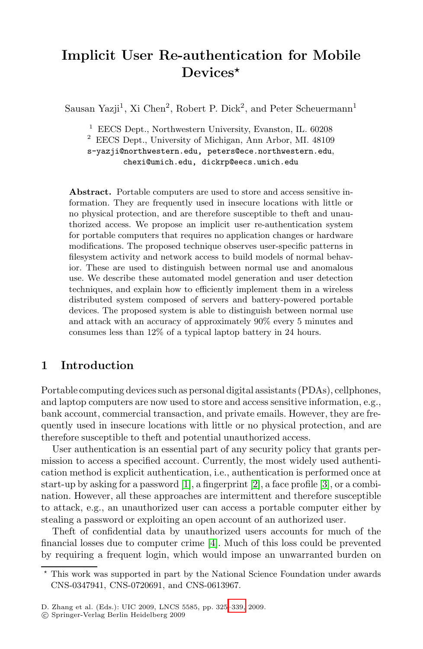# Implicit User Re-authentication for Mobile  $Devices*$

Sausan Yazji<sup>1</sup>, Xi Chen<sup>2</sup>, Robert P. Dick<sup>2</sup>, and Peter Scheuermann<sup>1</sup>

<sup>1</sup> EECS Dept., Northwestern University, Evanston, IL. 60208

<sup>2</sup> EECS Dept., University of Michigan, Ann Arbor, MI. 48109 s-yazji@northwestern.edu, peters@ece.northwestern.edu,

chexi@umich.edu, dickrp@eecs.umich.edu

Abstract. Portable computers are used to store and access sensitive information. They are frequently used in insecure locations with little or no physical protection, and are therefore susceptible to theft and unauthorized access. We propose an implicit user re-authentication system for portable computers that requires no application changes or hardware modifications. The proposed technique observes user-specific patterns in filesystem activity and network access to build models of normal behavior. These are used to distinguish between normal use and anomalous use. We describe these automated model generation and user detection techniques, and explain how to efficiently implement them in a wireless distributed system composed of servers and battery-powered portable devices. The proposed system is able to distinguish between normal use and attack with an accuracy of approximately 90% every 5 minutes and consumes less than 12% of a typical laptop battery in 24 hours.

### 1 Introduction

Portable com[put](#page-13-0)ing devices su[ch](#page-13-1) as personal dig[ita](#page-13-2)l assistants (PDAs), cellphones, and laptop computers are now used to store and access sensitive information, e.g., bank account, commercial transaction, and private emails. However, they are frequently used in insecure locations with little or no physical protection, and are therefore susceptible to theft and potential unauthorized access.

User authenticati[on](#page-13-3) is an essential part of any security policy that grants permission to access a specified account. Currently, the most widely used authentication method is explicit authentication, i.e., authentication is performed once at start-up by asking for a password [1], a fingerprint [2], a face profile [3], or a combination. However, all these approaches are intermittent and therefore susceptible to attack, e.g., an unauthorized user can access a portable computer either by stealing a password or e[xploit](#page-14-0)ing an open account of an authorized user.

Theft of confidential data by unauthorized users accounts for much of the financial losses due to computer crime [4]. Much of this loss could be prevented by requiring a frequent login, which would impose an unwarranted burden on

This work was supported in part by the National Science Foundation under awards CNS-0347941, CNS-0720691, and CNS-0613967.

D. Zhang et al. (Eds.): UIC 2009, LNCS 5585, pp. 325–339, 2009.

<sup>-</sup>c Springer-Verlag Berlin Heidelberg 2009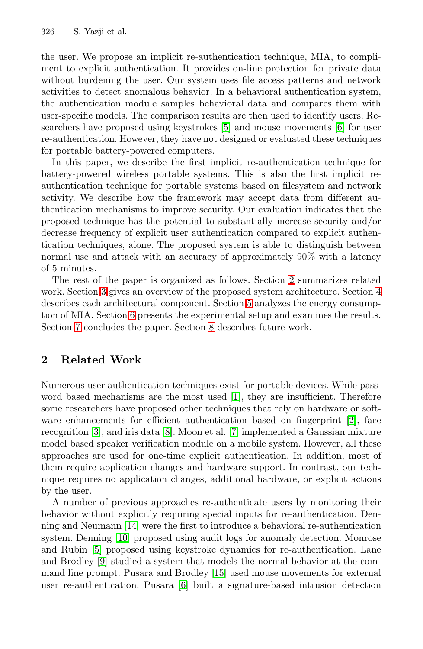the user. We propose an implicit re-authentication technique, MIA, to compliment to explicit authentication. It provides on-line protection for private data without burdening the user. Our system uses file access patterns and network activities to detect anomalous behavior. In a behavioral authentication system, the authentication module samples behavioral data and compares them with user-specific models. The comparison results are then used to identify users. Researchers have proposed using keystrokes [5] and mouse movements [6] for user re-authentication. However, they have not designed or evaluated these techniques for portable battery-powered computers.

In this paper, we describe the first implicit re-authentication technique for battery-powered wireless portable systems. This is also the first implicit reauthentication technique for portable [sy](#page-1-0)stems based on filesystem and network activity. We describe how the framework may accept dat[a](#page-4-0) from different authentication mechanisms to [im](#page-6-0)prove security. Our evaluation indicates that the p[ro](#page-8-0)posed technique has the potential to substantially increase security and/or decrease frequency [of](#page-13-4) explicit user authentication compared to explicit authentication techniques, alone. The proposed system is able to distinguish between normal use and attack with an accuracy of approximately 90% with a latency of 5 minutes.

<span id="page-1-0"></span>The rest of the paper is organized as follows. Section 2 summarizes related work. Section 3 gives an overview of the proposed system architecture. Section 4 describes each architectur[al](#page-13-0) component. Section 5 analyzes the energy consumption of MIA. Section 6 presents the experimental setup and examines the results. Section 7 concludes the paper. Section 8 describes f[utu](#page-13-1)re work.

#### 2 Related Work

Numerous user authentication techniques exist for portable devices. While password based mechanisms are the most used [1], they are insufficient. Therefore some researchers have proposed other techniques that rely on hardware or software enhancements for efficient authentication based on fingerprint [2], face [reco](#page-14-1)gnition [3], and iris data [8]. Moon et al. [7] implemented a Gaussian mixture [m](#page-13-5)odel based speaker verification module on a mobile system. However, all these approaches are used for one-time explicit authentication. In addition, most of them require application changes and hardware support. In contrast, our technique requires no ap[plic](#page-14-2)ation changes, additional hardware, or explicit actions by the user.

A number [of](#page-13-6) previous approaches re-authenticate users by monitoring their behavior without explicitly requiring special inputs for re-authentication. Denning and Neumann [14] were the first to introduce a behavioral re-authentication system. Denning [10] proposed using audit logs for anomaly detection. Monrose and Rubin [5] proposed using keystroke dynamics for re-authentication. Lane and Brodley [9] studied a system that models the normal behavior at the command line prompt. Pusara and Brodley [15] used mouse movements for external user re-authentication. Pusara [6] built a signature-based intrusion detection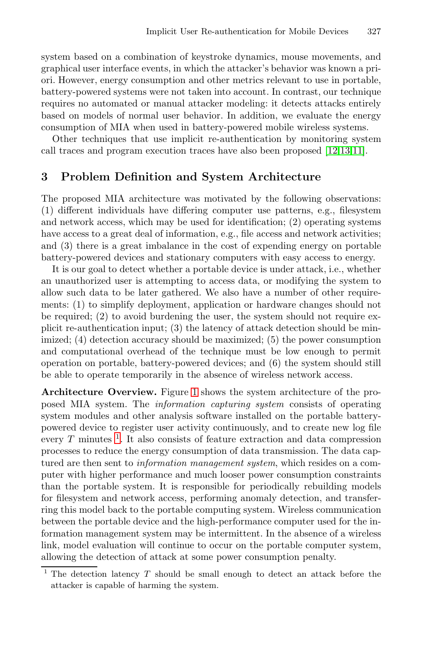system based on a combination of keystroke d[yna](#page-14-3)[mic](#page-14-4)[s, m](#page-14-5)ouse movements, and graphical user interface events, in which the attacker's behavior was known a priori. However, energy consumption and other metrics relevant to use in portable, battery-powered systems were not taken into account. In contrast, our technique requires no automated or manual attacker modeling: it detects attacks entirely based on models of normal user behavior. In addition, we evaluate the energy consumption of MIA when used in battery-powered mobile wireless systems.

Other techniques that use implicit re-authentication by monitoring system call traces and program execution traces have also been proposed [12,13,11].

### 3 Problem Definition and System Architecture

The proposed MIA architecture was motivated by the following observations: (1) different individuals have differing computer use patterns, e.g., filesystem and network access, which may be used for identification; (2) operating systems have access to a great deal of information, e.g., file access and network activities; and (3) there is a great imbalance in the cost of expending energy on portable battery-powered devices and stationary computers with easy access to energy.

It is our goal to detect whether a portable device is under attack, i.e., whether an unauthorized user is attempting to access data, or modifying the system to allow such data to be later gathered. We also have a number of other requirements: (1) to si[mp](#page-3-0)lify deployment, application or hardware changes should not be required; (2) to avoid burdening the user, the system should not require explicit re-authentication input; (3) the latency of attack detection should be minimized; (4) detection accuracy should be maximized; (5) the power consumption and computational overhead of the technique must be low enough to permit operation on portable, battery-powered devices; and (6) the system should still be able to operate temporarily in the absence of wireless network access.

Architecture Overview. Figure 1 shows the system architecture of the proposed MIA system. The information capturing system consists of operating system modules and other analysis software installed on the portable batterypowered device to register user activity continuously, and to create new log file every  $T$  minutes <sup>1</sup>. It also consists of feature extraction and data compression processes to reduce the energy consumption of data transmission. The data captured are then sent to *information management system*, which resides on a computer with higher performance and much looser power consumption constraints than the portable system. It is responsible for periodically rebuilding models for filesystem and network access, performing anomaly detection, and transferring this model back to the portable computing system. Wireless communication between the portable device and the high-performance computer used for the information management system may be intermittent. In the absence of a wireless link, model evaluation will continue to occur on the portable computer system, allowing the detection of attack at some power consumption penalty.

The detection latency  $T$  should be small enough to detect an attack before the attacker is capable of harming the system.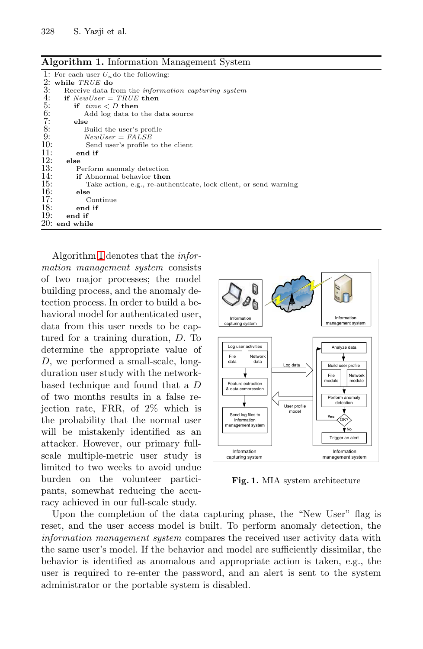Algorithm 1. Information Management System

|     | 1: For each user $U_n$ do the following:                         |
|-----|------------------------------------------------------------------|
|     | 2: while $TRUE$ do                                               |
| 3:  | Receive data from the <i>information</i> capturing system        |
| 4:  | if $NewUser = TRUE$ then                                         |
| 5:  | if $time < D$ then                                               |
| 6:  | Add log data to the data source                                  |
| 7:  | else                                                             |
| 8:  | Build the user's profile                                         |
| 9:  | $NewUser = FALSE$                                                |
| 10: | Send user's profile to the client                                |
| 11: | end if                                                           |
| 12: | else                                                             |
| 13: | Perform anomaly detection                                        |
| 14: | <b>if</b> Abnormal behavior <b>then</b>                          |
| 15: | Take action, e.g., re-authenticate, lock client, or send warning |
| 16: | else                                                             |
| 17: | Continue                                                         |
| 18: | end if                                                           |
| 19: | end if                                                           |
|     | $20:$ end while                                                  |

Algorithm 1 denotes that the information management system consists of two major processes; the model building process, and the anomaly detection process. In order to build a behavioral model for authenticated user, data from this user needs to be captured for a training duration, D. To determine the appropriate value of D, we performed a small-scale, longduration user study with the networkbased technique and found that a D of two months results in a false rejection rate, FRR, of 2% which is the probability that the normal user will be mistakenly identified as an attacker. However, our primary fullscale multiple-metric user study is limited to two weeks to avoid undue burden on the volunteer participants, somewhat reducing the accuracy achieved in our full-scale study.



<span id="page-3-0"></span>Fig. 1. MIA system architecture

Upon the completion of the data capturing phase, the "New User" flag is reset, and the user access model is built. To perform anomaly detection, the information management system compares the received user activity data with the same user's model. If the behavior and model are sufficiently dissimilar, the behavior is identified as anomalous and appropriate action is taken, e.g., the user is required to re-enter the password, and an alert is sent to the system administrator or the portable system is disabled.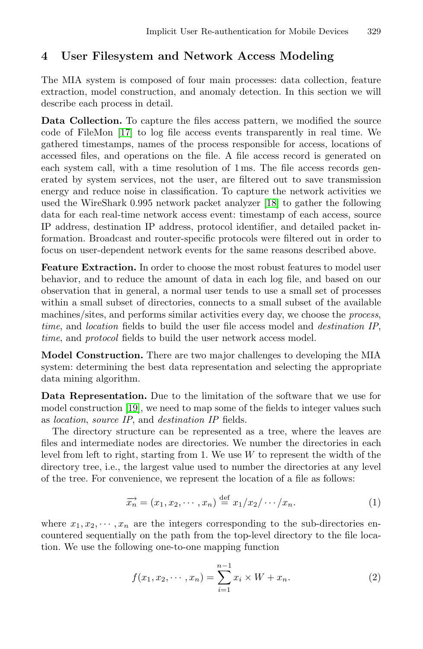#### <span id="page-4-0"></span>4 User Filesystem and Network Access Modeling

The MIA system is composed of four main processes: data collection, feature extraction, model construction, and anomaly detection. In this section we will describe each process in detail.

Data Collection. To capture t[he fi](#page-14-6)les access pattern, we modified the source code of FileMon [17] to log file access events transparently in real time. We gathered timestamps, names of the process responsible for access, locations of accessed files, and operations on the file. A file access record is generated on each system call, with a time resolution of 1 ms. The file access records generated by system services, not the user, are filtered out to save transmission energy and reduce noise in classification. To capture the network activities we used the WireShark 0.995 network packet analyzer [18] to gather the following data for each real-time network access event: timestamp of each access, source IP address, destination IP address, protocol identifier, and detailed packet information. Broadcast and router-specific protocols were filtered out in order to focus on user-dependent network events for the same reasons described above.

Feature Extraction. In order to choose the most robust features to model user behavior, and to reduce the amount of data in each log file, and based on our observation that in general, a normal user tends to use a small set of processes within a small subset of directories, connects to a small subset of the available [mac](#page-14-7)hines/sites, and performs similar activities every day, we choose the process, time, and *location* fields to build the user file access model and *destination IP*, time, and *protocol* fields to build the user network access model.

Model Construction. There are two major challenges to developing the MIA system: determining the best data representation and selecting the appropriate data mining algorithm.

Data Representation. Due to the limitation of the software that we use for model construction [19], we need to map some of the fields to integer values such as location, source IP, and destination IP fields.

The directory structure can be represented as a tree, where the leaves are files and intermediate nodes are directories. We number the directories in each level from left to right, starting from 1. We use  $W$  to represent the width of the directory tree, i.e., the largest value used to number the directories at any level of the tree. For convenience, we represent the location of a file as follows:

$$
\overrightarrow{x_n} = (x_1, x_2, \cdots, x_n) \stackrel{\text{def}}{=} x_1/x_2/\cdots/x_n.
$$
 (1)

where  $x_1, x_2, \dots, x_n$  are the integers corresponding to the sub-directories encountered sequentially on the path from the top-level directory to the file location. We use the following one-to-one mapping function

$$
f(x_1, x_2, \cdots, x_n) = \sum_{i=1}^{n-1} x_i \times W + x_n.
$$
 (2)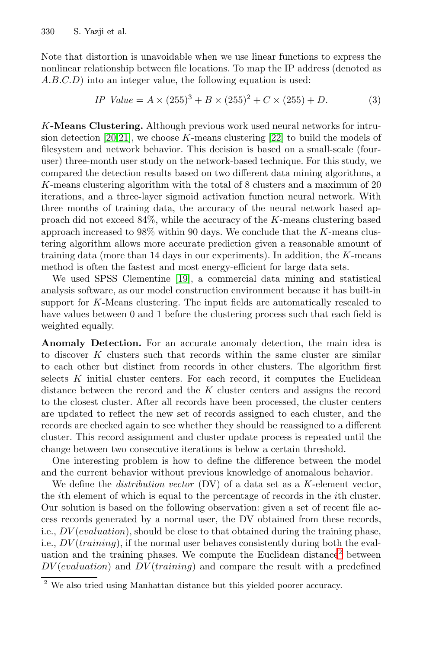Note that distortion is unavoidable when we use linear functions to express the nonlinear relationship between file locations. To map the IP address (denoted as A.B.C.D) into an integer value, the following equation is used:

<span id="page-5-1"></span>*IP Value* = 
$$
A \times (255)^3 + B \times (255)^2 + C \times (255) + D.
$$
 (3)

K-Means Clustering. Although previous work used neural networks for intrusion detection [20,21], we choose K-means clustering [22] to build the models of filesystem and network behavior. This decision is based on a small-scale (fouruser) three-month user study on the network-based technique. For this study, we compared the detection results based on two different data mining algorithms, a K-means clu[ste](#page-14-7)ring algorithm with the total of 8 clusters and a maximum of 20 iterations, and a three-layer sigmoid activation function neural network. With three months of training data, the accuracy of the neural network based approach did not exceed 84%, while the accuracy of the K-means clustering based approach increased to  $98\%$  within 90 days. We conclude that the K-means clustering algorithm allows more accurate prediction given a reasonable amount of training data (more than 14 days in our experiments). In addition, the K-means method is often the fastest and most energy-efficient for large data sets.

We used SPSS Clementine [19], a commercial data mining and statistical analysis software, as our model construction environment because it has built-in support for K-Means clustering. The input fields are automatically rescaled to have values between 0 and 1 before the clustering process such that each field is weighted equally.

Anomaly Detection. For an accurate anomaly detection, the main idea is to discover  $K$  clusters such that records within the same cluster are similar to each other but distinct from records in other clusters. The algorithm first selects  $K$  initial cluster centers. For each record, it computes the Euclidean distance between the record and the  $K$  cluster centers and assigns the record to the closest cluster. After all records have been processed, the cluster centers are updated to reflect the new set of records assigned to each cluster, and the records are checked again to see whether they should be reassigned to a different cluster. This record assignment and cluster update process is repeated until the change between two consecutive iterations is below a certain threshold.

One interesting problem is how to define the [di](#page-5-0)fference between the model and the current behavior without previous knowledge of anomalous behavior.

<span id="page-5-0"></span>We define the *distribution vector* (DV) of a data set as a  $K$ -element vector, the ith element of which is equal to the percentage of records in the ith cluster. Our solution is based on the following observation: given a set of recent file access records generated by a normal user, the DV obtained from these records, i.e.,  $DV(evaluation)$ , should be close to that obtained during the training phase, i.e.,  $DV(training)$ , if the normal user behaves consistently during both the evaluation and the training phases. We compute the Euclidean distance<sup>2</sup> between  $DV(evaluation)$  and  $DV(training)$  and compare the result with a predefined

<sup>2</sup> We also tried using Manhattan distance but this yielded poorer accuracy.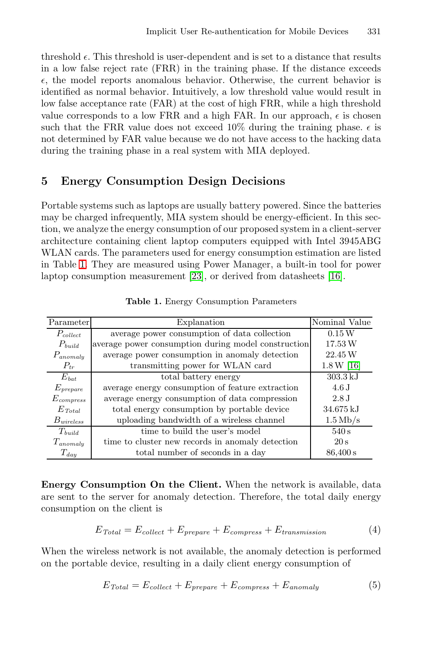<span id="page-6-0"></span>threshold  $\epsilon$ . This threshold is user-dependent and is set to a distance that results in a low false reject rate (FRR) in the training phase. If the distance exceeds  $\epsilon$ , the model reports anomalous behavior. Otherwise, the current behavior is identified as normal behavior. Intuitively, a low threshold value would result in low false acceptance rate (FAR) at the cost of high FRR, while a high threshold value corresponds to a low FRR and a high FAR. In our approach,  $\epsilon$  is chosen such that the FRR value does not exceed 10% during the training phase.  $\epsilon$  is not determined by FAR value because we do not have access to the hacking data during the training phase in a real system with MIA deployed.

#### 5 Energy [Co](#page-14-8)nsumption Design De[cis](#page-14-9)ions

Portable systems such as laptops are usually battery powered. Since the batteries may be charged infrequently, MIA system should be energy-efficient. In this section, we analyze the energy consumption of our proposed system in a client-server architecture containing client laptop computers equipped with Intel 3945ABG WLAN cards. The parameters used for energy consumption estimation are listed in Table 1. They are measured using Power Manager, a built-in tool for power laptop consumption measurement [23], or derived fr[om](#page-14-9) datasheets [16].

| Parameter            | Explanation                                         | Nominal Value      |
|----------------------|-----------------------------------------------------|--------------------|
| $P_{collect}$        | average power consumption of data collection        | 0.15W              |
| $P_{build}$          | average power consumption during model construction | 17.53 W            |
| $P_{anomaly}$        | average power consumption in anomaly detection      | 22.45 W            |
| $P_{tr}$             | transmitting power for WLAN card                    | $1.8 W$ [16]       |
| $E_{\text{bat}}$     | total battery energy                                | 303.3 kJ           |
| $E_{\text{prepare}}$ | average energy consumption of feature extraction    | $4.6 \text{ J}$    |
| $E_{compress}$       | average energy consumption of data compression      | 2.8J               |
| $E_{\text{Total}}$   | total energy consumption by portable device         | 34.675 kJ          |
| $B_{wireless}$       | uploading bandwidth of a wireless channel           | $1.5 \text{ Mb/s}$ |
| $T_{build}$          | time to build the user's model                      | 540s               |
| $T_{anomaly}$        | time to cluster new records in anomaly detection    | 20 s               |
| $T_{day}$            | total number of seconds in a day                    | 86,400 s           |

Table 1. Energy Consumption Parameters

Energy Consumption On the Client. When the network is available, data are sent to the server for anomaly detection. Therefore, the total daily energy consumption on the client is

$$
E_{Total} = E_{collect} + E_{prepare} + E_{compress} + E_{transmission}
$$
\n(4)

When the wireless network is not available, the anomaly detection is performed on the portable device, resulting in a daily client energy consumption of

$$
E_{Total} = E_{collect} + E_{prepare} + E_{compress} + E_{anomaly}
$$
 (5)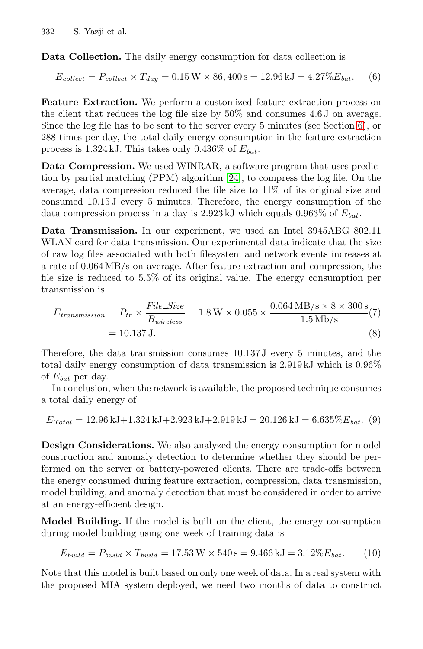Data Collection. The daily energy consumption for data collection is

 $E_{collect} = P_{collect} \times T_{day} = 0.15 \text{ W} \times 86,400 \text{ s} = 12.96 \text{ kJ} = 4.27 \% E_{bat}.$  (6)

Feature Extraction. We perform a customized feature extraction process on the client that reduces the log file size by 50% and consumes 4.6 J on average. Since the log file has to be sent to the server every 5 minutes (see Section 6), or 288 times per day, the total daily energy consumption in the feature extraction process is 1.324 kJ. This takes only 0.436\% of  $E_{bat}$ .

Data Compression. We used WINRAR, a software program that uses prediction by partial matching (PPM) algorithm [24], to compress the log file. On the average, data compression reduced the file size to 11% of its original size and consumed 10.15 J every 5 minutes. Therefore, the energy consumption of the data compression process in a day is 2.923 kJ which equals 0.963\% of  $E_{bat}$ .

Data Transmission. In our experiment, we used an Intel 3945ABG 802.11 WLAN card for data transmission. Our experimental data indicate that the size of raw log files associated with both filesystem and network events increases at a rate of 0.064MB/s on average. After feature extraction and compression, the file size is reduced to 5.5% of its original value. The energy consumption per transmission is

$$
E_{transmission} = P_{tr} \times \frac{File\_Size}{B_{wireless}} = 1.8 \text{ W} \times 0.055 \times \frac{0.064 \text{ MB/s} \times 8 \times 300 \text{ s}}{1.5 \text{ Mb/s}} (7)
$$

$$
= 10.137 \text{ J}.
$$
 (8)

Therefore, the data transmission consumes 10.137 J every 5 minutes, and the total daily energy consumption of data transmission is 2.919 kJ which is 0.96% of  $E_{bat}$  per day.

In conclusion, when the network is available, the proposed technique consumes a total daily energy of

$$
E_{\text{Total}} = 12.96 \,\text{kJ} + 1.324 \,\text{kJ} + 2.923 \,\text{kJ} + 2.919 \,\text{kJ} = 20.126 \,\text{kJ} = 6.635\% E_{\text{bat}}.\tag{9}
$$

Design Considerations. We also analyzed the energy consumption for model construction and anomaly detection to determine whether they should be performed on the server or battery-powered clients. There are trade-offs between the energy consumed during feature extraction, compression, data transmission, model building, and anomaly detection that must be considered in order to arrive at an energy-efficient design.

Model Building. If the model is built on the client, the energy consumption during model building using one week of training data is

$$
E_{build} = P_{build} \times T_{build} = 17.53 \text{ W} \times 540 \text{ s} = 9.466 \text{ kJ} = 3.12\% E_{bat}. \tag{10}
$$

Note that this model is built based on only one week of data. In a real system with the proposed MIA system deployed, we need two months of data to construct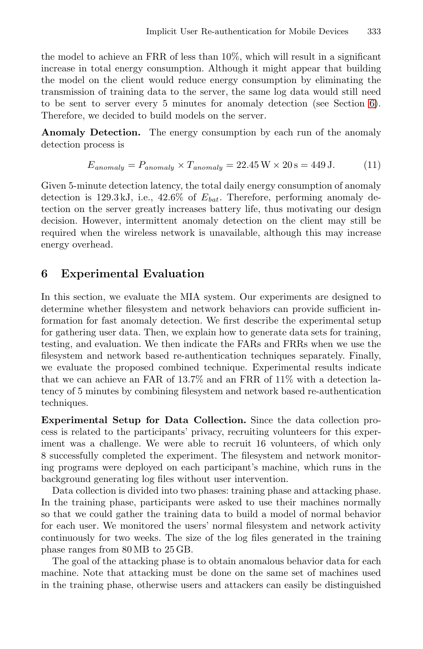the model to achieve an FRR of less than 10%, which will result in a significant increase in total energy consumption. Although it might appear that building the model on the client would reduce energy consumption by eliminating the transmission of training data to the server, the same log data would still need to be sent to server every 5 minutes for anomaly detection (see Section 6). Therefore, we decided to build models on the server.

Anomaly Detection. The energy consumption by each run of the anomaly detection process is

$$
E_{anomaly} = P_{anomaly} \times T_{anomaly} = 22.45 \text{ W} \times 20 \text{ s} = 449 \text{ J}.
$$
 (11)

<span id="page-8-0"></span>Given 5-minute detection latency, the total daily energy consumption of anomaly detection is 129.3 kJ, i.e., 42.6% of  $E_{bat}$ . Therefore, performing anomaly detection on the server greatly increases battery life, thus motivating our design decision. However, intermittent anomaly detection on the client may still be required when the wireless network is unavailable, although this may increase energy overhead.

#### 6 Experimental Evaluation

In this section, we evaluate the MIA system. Our experiments are designed to determine whether filesystem and network behaviors can provide sufficient information for fast anomaly detection. We first describe the experimental setup for gathering user data. Then, we explain how to generate data sets for training, testing, and evaluation. We then indicate the FARs and FRRs when we use the filesystem and network based re-authentication techniques separately. Finally, we evaluate the proposed combined technique. Experimental results indicate that we can achieve an FAR of 13.7% and an FRR of 11% with a detection latency of 5 minutes by combining filesystem and network based re-authentication techniques.

Experimental Setup for Data Collection. Since the data collection process is related to the participants' privacy, recruiting volunteers for this experiment was a challenge. We were able to recruit 16 volunteers, of which only 8 successfully completed the experiment. The filesystem and network monitoring programs were deployed on each participant's machine, which runs in the background generating log files without user intervention.

Data collection is divided into two phases: training phase and attacking phase. In the training phase, participants were asked to use their machines normally so that we could gather the training data to build a model of normal behavior for each user. We monitored the users' normal filesystem and network activity continuously for two weeks. The size of the log files generated in the training phase ranges from 80 MB to 25 GB.

The goal of the attacking phase is to obtain anomalous behavior data for each machine. Note that attacking must be done on the same set of machines used in the training phase, otherwise users and attackers can easily be distinguished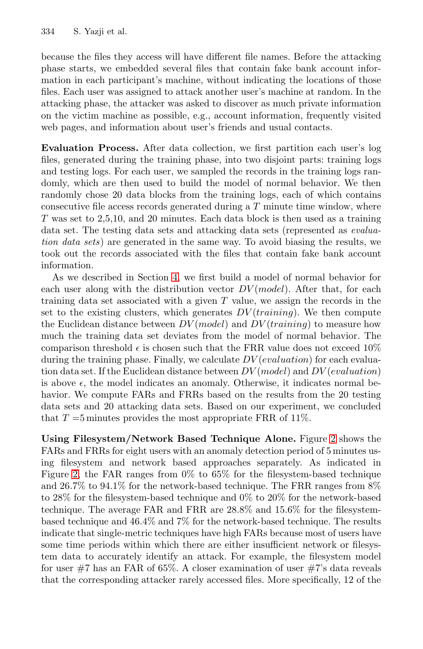because the files they access will have different file names. Before the attacking phase starts, we embedded several files that contain fake bank account information in each participant's machine, without indicating the locations of those files. Each user was assigned to attack another user's machine at random. In the attacking phase, the attacker was asked to discover as much private information on the victim machine as possible, e.g., account information, frequently visited web pages, and information about user's friends and usual contacts.

Evaluation Process. After data collection, we first partition each user's log files, generated during the training phase, into two disjoint parts: training logs and testing logs. For each user, we sampled the records in the training logs randomly, whi[ch](#page-5-1) are then used to build the model of normal behavior. We then randomly chose 20 data blocks from the training logs, each of which contains consecutive file access records generated during a  $T$  minute time window, where T was set to 2,5,10, and 20 minutes. Each data block is then used as a training data set. The testing data sets and attacking data sets (represented as evaluation data sets) are generated in the same way. To avoid biasing the results, we took out the records associated with the files that contain fake bank account information.

As we described in Section 4, we first build a model of normal behavior for each user along with the distribution vector  $DV(model)$ . After that, for each training data set associated with a given  $T$  value, we assign the records in the set to the existing clusters, which generates  $DV(training)$ . We then compute the Euclidean distance between  $DV(model)$  and  $DV(training)$  to measure how much the training data set deviates from the model of normal behavior. The comparison threshold  $\epsilon$  is chosen such that the [FR](#page-10-0)R value does not exceed 10% during the training phase. Finally, we calculate  $DV(evaluation)$  for each evaluation data set. If the Euclidean distance between  $DV(model)$  and  $DV(evaluation)$ is above  $\epsilon$ , the model indicates an anomaly. Otherwise, it indicates normal behavior. We compute FARs and FRRs based on the results from the 20 testing data sets and 20 attacking data sets. Based on our experiment, we concluded that  $T = 5$  minutes provides the most appropriate FRR of 11%.

Using Filesystem/Network Based Technique Alone. Figure 2 shows the FARs and FRRs for eight users with an anomaly detection period of 5 minutes using filesystem and network based approaches separately. As indicated in Figure 2, the FAR ranges from 0% to 65% for the filesystem-based technique and 26.7% to 94.1% for the network-based technique. The FRR ranges from 8% to 28% for the filesystem-based technique and 0% to 20% for the network-based technique. The average FAR and FRR are 28.8% and 15.6% for the filesystembased technique and 46.4% and 7% for the network-based technique. The results indicate that single-metric techniques have high FARs because most of users have some time periods within which there are either insufficient network or filesystem data to accurately identify an attack. For example, the filesystem model for user  $\#7$  has an FAR of 65%. A closer examination of user  $\#7$ 's data reveals that the corresponding attacker rarely accessed files. More specifically, 12 of the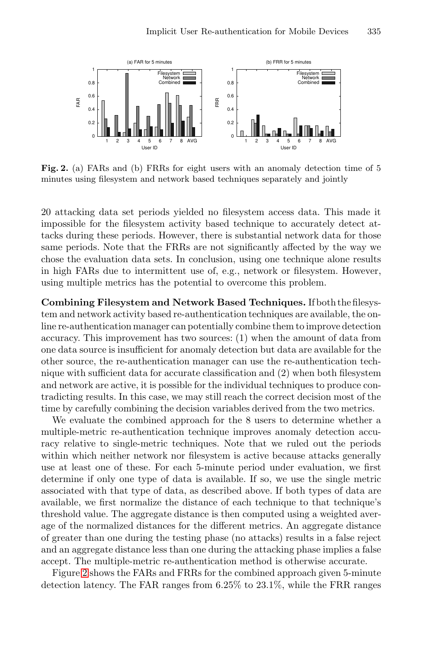<span id="page-10-0"></span>

Fig. 2. (a) FARs and (b) FRRs for eight users with an anomaly detection time of 5 minutes using filesystem and network based techniques separately and jointly

20 attacking data set periods yielded no filesystem access data. This made it impossible for the filesystem activity based technique to accurately detect attacks during these periods. However, there is substantial network data for those same periods. Note that the FRRs are not significantly affected by the way we chose the evaluation data sets. In conclusion, using one technique alone results in high FARs due to intermittent use of, e.g., network or filesystem. However, using multiple metrics has the potential to overcome this problem.

Combining Filesystem and Network Based Techniques. If both the filesystem and network activity based re-authentication techniques are available, the online re-authentication manager can potentially combine them to improve detection accuracy. This improvement has two sources: (1) when the amount of data from one data source is insufficient for anomaly detection but data are available for the other source, the re-authentication manager can use the re-authentication technique with sufficient data for accurate classification and (2) when both filesystem and network are active, it is possible for the individual techniques to produce contradicting results. In this case, we may still reach the correct decision most of the time by carefully combining the decision variables derived from the two metrics.

We evaluate the combined approach for the 8 users to determine whether a multiple-metric re-authentication technique improves anomaly detection accuracy relative to single-metric techniques. Note that we ruled out the periods within which neither network nor filesystem is active because attacks generally use at least one of these. For each 5-minute period under evaluation, we first determine if only one type of data is available. If so, we use the single metric associated with that type of data, as described above. If both types of data are available, we first normalize the distance of each technique to that technique's threshold value. The aggregate distance is then computed using a weighted average of the normalized distances for the different metrics. An aggregate distance of greater than one during the testing phase (no attacks) results in a false reject and an aggregate distance less than one during the attacking phase implies a false accept. The multiple-metric re-authentication method is otherwise accurate.

Figure 2 shows the FARs and FRRs for the combined approach given 5-minute detection latency. The FAR ranges from 6.25% to 23.1%, while the FRR ranges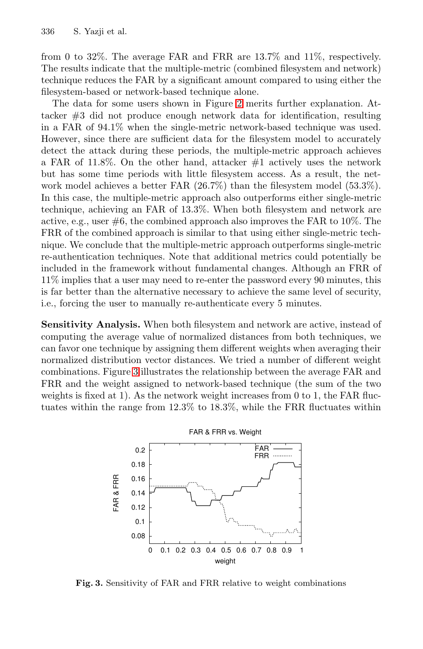from 0 to 32%. The average FAR and FRR are 13.7% and 11%, respectively. The results indicate that the multiple-metric (combined filesystem and network) technique reduces the FAR by a significant amount compared to using either the filesystem-based or network-based technique alone.

The data for some users shown in Figure 2 merits further explanation. Attacker #3 did not produce enough network data for identification, resulting in a FAR of 94.1% when the single-metric network-based technique was used. However, since there are sufficient data for the filesystem model to accurately detect the attack during these periods, the multiple-metric approach achieves a FAR of 11.8%. On the other hand, attacker  $#1$  actively uses the network but has some time periods with little filesystem access. As a result, the network model achieves a better FAR (26.7%) than the filesystem model (53.3%). In this case, the multiple-metric approach also outperforms either single-metric technique, achieving an FAR of 13.3%. When both filesystem and network are active, e.g., user  $\#6$ , the combined approach also improves the FAR to 10%. The FRR of the combined approach is similar to that using either single-metric technique. We conclude that the multiple-metric approach outperforms single-metric re-authentication techniques. Note that additional metrics could potentially be included in the framework without fundamental changes. Although an FRR of 11[%](#page-11-0) implies that a user may need to re-enter the password every 90 minutes, this is far better than the alternative necessary to achieve the same level of security, i.e., forcing the user to manually re-authenticate every 5 minutes.

Sensitivity Analysis. When both filesystem and network are active, instead of computing the average value of normalized distances from both techniques, we can favor one technique by assigning them different weights when averaging their normalized distribution vector distances. We tried a number of different weight combinations. Figure 3 illustrates the relationship between the average FAR and FRR and the weight assigned to network-based technique (the sum of the two weights is fixed at 1). As the network weight increases from  $0$  to 1, the FAR fluctuates within the range from 12.3% to 18.3%, while the FRR fluctuates within

<span id="page-11-0"></span>

Fig. 3. Sensitivity of FAR and FRR relative to weight combinations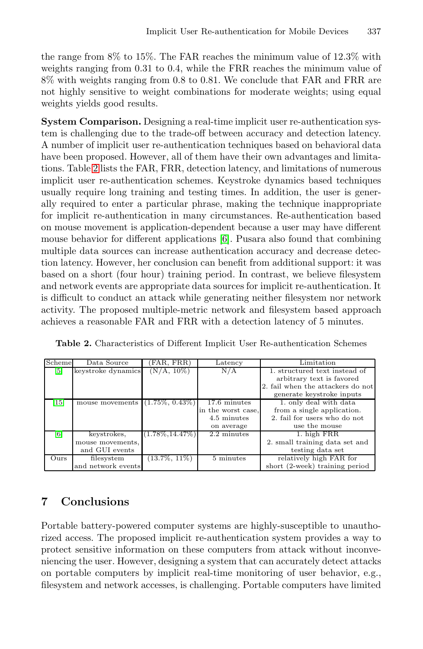the range from 8% to 15%. The FAR reaches the minimum value of 12.3% with weights ranging from 0.31 to 0.4, while the FRR reaches the minimum value of 8% with weights ranging from 0.8 to 0.81. We conclude that FAR and FRR are not highly sensitive to weight combinations for moderate weights; using equal weights yields good results.

System Comparison. Designing a real-time implicit user re-authentication system is challenging due to the trade-off between accuracy and detection latency. A number of implicit u[ser](#page-13-6) re-authentication techniques based on behavioral data have been proposed. However, all of them have their own advantages and limitations. Table 2 lists the FAR, FRR, detection latency, and limitations of numerous implicit user re-authentication schemes. Keystroke dynamics based techniques usually require long training and testing times. In addition, the user is generally required to enter a particular phrase, making the technique inappropriate for implicit re-authentication in many circumstances. Re-authentication based on mouse movement is application-dependent because a user may have different mouse behavior for different applications [6]. Pusara also found that combining multiple data sources can increase authentication accuracy and decrease detection latency. However, her conclusion can benefit from additional support: it was based on a short (four hour) training period. In contrast, we believe filesystem and network events are appropriate data sources for implicit re-authentication. It is difficult to conduct an attack while generating neither filesystem nor network activity. The proposed multiple-metric network and filesystem based approach achieves a reasonable FAR and FRR with a detection latency of 5 minutes.

| Scheme | Data Source        | FAR, FRR)           | Latency            | Limitation                        |
|--------|--------------------|---------------------|--------------------|-----------------------------------|
| 51     | keystroke dynamics | $(N/A, 10\%)$       | N/A                | 1. structured text instead of     |
|        |                    |                     |                    | arbitrary text is favored         |
|        |                    |                     |                    | 2. fail when the attackers do not |
|        |                    |                     |                    | generate keystroke inputs         |
| $[15]$ | mouse movements    | $(1.75\%, 0.43\%)$  | 17.6 minutes       | 1. only deal with data            |
|        |                    |                     | in the worst case. | from a single application.        |
|        |                    |                     | 4.5 minutes        | 2. fail for users who do not      |
|        |                    |                     | on average         | use the mouse                     |
| 61     | keystrokes,        | $(1.78\%, 14.47\%)$ | 2.2 minutes        | 1. high FRR                       |
|        | mouse movements,   |                     |                    | 2. small training data set and    |
|        | and GUI events     |                     |                    | testing data set                  |
| Ours   | filesystem         | $(13.7\%, 11\%)$    | 5 minutes          | relatively high FAR for           |
|        | and network events |                     |                    | short (2-week) training period    |

Table 2. Characteristics of Different Implicit User Re-authentication Schemes

#### 7 Conclusions

Portable battery-powered computer systems are highly-susceptible to unauthorized access. The proposed implicit re-authentication system provides a way to protect sensitive information on these computers from attack without inconveniencing the user. However, designing a system that can accurately detect attacks on portable computers by implicit real-time monitoring of user behavior, e.g., filesystem and network accesses, is challenging. Portable computers have limited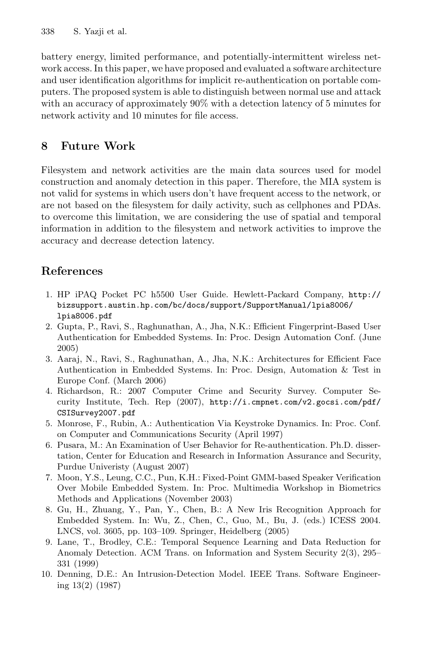<span id="page-13-4"></span>battery energy, limited performance, and potentially-intermittent wireless network access. In this paper, we have proposed and evaluated a software architecture and user identification algorithms for implicit re-authentication on portable computers. The proposed system is able to distinguish between normal use and attack with an accuracy of approximately  $90\%$  with a detection latency of 5 minutes for network activity and 10 minutes for file access.

## 8 Future Work

<span id="page-13-0"></span>Filesystem and network activities are the main data sources used for model construction and anomaly detection in this paper. Therefore, the MIA system is not valid for systems in which users don't have frequent access to the network, or are not based on the filesystem for daily activity, su[ch as cell](http://bizsupport.austin.hp.com/bc/docs/support/SupportManual/lpia8006/lpia8006.pdf)phones and PDAs. [to overcome this limitation, we are considering the use](http://bizsupport.austin.hp.com/bc/docs/support/SupportManual/lpia8006/lpia8006.pdf) of spatial and temporal information in addition to the filesystem and network activities to improve the accuracy and decrease detection latency.

### <span id="page-13-3"></span><span id="page-13-2"></span><span id="page-13-1"></span>References

- 1. HP iPAQ Pocket PC h5500 User Guide. Hewlett-Packard Company, http:// bizsupport.aust[in.hp.com/bc/docs/support/SupportManua](http://i.cmpnet.com/v2.gocsi.com/pdf/CSISurvey2007.pdf)l/lpia8006/ lpia8006.pdf
- [2.](http://i.cmpnet.com/v2.gocsi.com/pdf/CSISurvey2007.pdf) Gupta, P., Ravi, S., Raghunathan, A., Jha, N.K.: Efficient Fingerprint-Based User Authentication for Embedded Systems. In: Proc. Design Automation Conf. (June 2005)
- <span id="page-13-6"></span>3. Aaraj, N., Ravi, S., Raghunathan, A., Jha, N.K.: Architectures for Efficient Face Authentication in Embedded Systems. In: Proc. Design, Automation & Test in Europe Conf. (March 2006)
- 4. Richardson, R.: 2007 Computer Crime and Security Survey. Computer Security Institute, Tech. Rep (2007), http://i.cmpnet.com/v2.gocsi.com/pdf/ CSISurvey2007.pdf
- 5. Monrose, F., Rubin, A.: Authentication Via Keystroke Dynamics. In: Proc. Conf. on Computer and Communications Security (April 1997)
- 6. Pusara, M.: An Examination of User Behavior for Re-authentication. Ph.D. dissertation, Center for Education and Research in Information Assurance and Security, Purdue Univeristy (August 2007)
- <span id="page-13-5"></span>7. Moon, Y.S., Leung, C.C., Pun, K.H.: Fixed-Point GMM-based Speaker Verification Over Mobile Embedded System. In: Proc. Multimedia Workshop in Biometrics Methods and Applications (November 2003)
- 8. Gu, H., Zhuang, Y., Pan, Y., Chen, B.: A New Iris Recognition Approach for Embedded System. In: Wu, Z., Chen, C., Guo, M., Bu, J. (eds.) ICESS 2004. LNCS, vol. 3605, pp. 103–109. Springer, Heidelberg (2005)
- 9. Lane, T., Brodley, C.E.: Temporal Sequence Learning and Data Reduction for Anomaly Detection. ACM Trans. on Information and System Security 2(3), 295– 331 (1999)
- 10. Denning, D.E.: An Intrusion-Detection Model. IEEE Trans. Software Engineering 13(2) (1987)